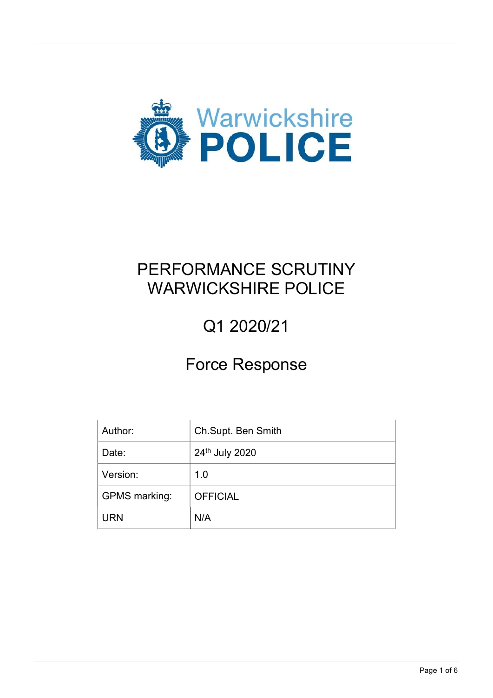

## PERFORMANCE SCRUTINY WARWICKSHIRE POLICE

# Q1 2020/21

### Force Response

| Author:              | Ch.Supt. Ben Smith |
|----------------------|--------------------|
| Date:                | 24th July 2020     |
| Version:             | 1.0                |
| <b>GPMS</b> marking: | <b>OFFICIAL</b>    |
| URN                  | N/A                |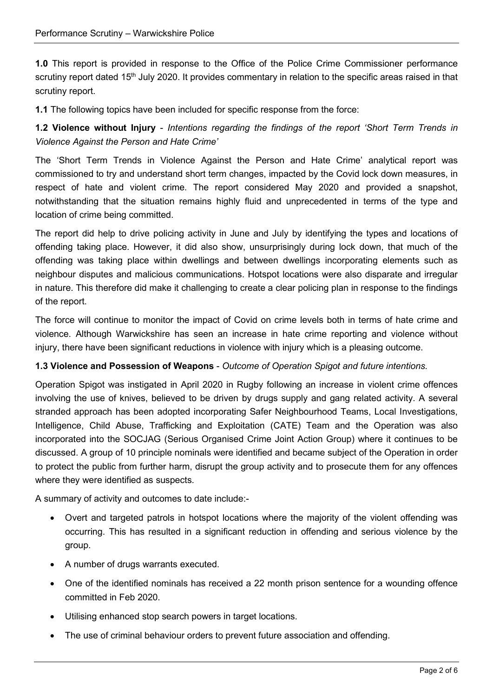1.0 This report is provided in response to the Office of the Police Crime Commissioner performance scrutiny report dated 15<sup>th</sup> July 2020. It provides commentary in relation to the specific areas raised in that scrutiny report.

1.1 The following topics have been included for specific response from the force:

1.2 Violence without Injury - Intentions regarding the findings of the report 'Short Term Trends in Violence Against the Person and Hate Crime'

The 'Short Term Trends in Violence Against the Person and Hate Crime' analytical report was commissioned to try and understand short term changes, impacted by the Covid lock down measures, in respect of hate and violent crime. The report considered May 2020 and provided a snapshot, notwithstanding that the situation remains highly fluid and unprecedented in terms of the type and location of crime being committed.

The report did help to drive policing activity in June and July by identifying the types and locations of offending taking place. However, it did also show, unsurprisingly during lock down, that much of the offending was taking place within dwellings and between dwellings incorporating elements such as neighbour disputes and malicious communications. Hotspot locations were also disparate and irregular in nature. This therefore did make it challenging to create a clear policing plan in response to the findings of the report.

The force will continue to monitor the impact of Covid on crime levels both in terms of hate crime and violence. Although Warwickshire has seen an increase in hate crime reporting and violence without injury, there have been significant reductions in violence with injury which is a pleasing outcome.

#### 1.3 Violence and Possession of Weapons - Outcome of Operation Spigot and future intentions.

Operation Spigot was instigated in April 2020 in Rugby following an increase in violent crime offences involving the use of knives, believed to be driven by drugs supply and gang related activity. A several stranded approach has been adopted incorporating Safer Neighbourhood Teams, Local Investigations, Intelligence, Child Abuse, Trafficking and Exploitation (CATE) Team and the Operation was also incorporated into the SOCJAG (Serious Organised Crime Joint Action Group) where it continues to be discussed. A group of 10 principle nominals were identified and became subject of the Operation in order to protect the public from further harm, disrupt the group activity and to prosecute them for any offences where they were identified as suspects.

A summary of activity and outcomes to date include:-

- Overt and targeted patrols in hotspot locations where the majority of the violent offending was occurring. This has resulted in a significant reduction in offending and serious violence by the group.
- A number of drugs warrants executed.
- One of the identified nominals has received a 22 month prison sentence for a wounding offence committed in Feb 2020.
- Utilising enhanced stop search powers in target locations.
- The use of criminal behaviour orders to prevent future association and offending.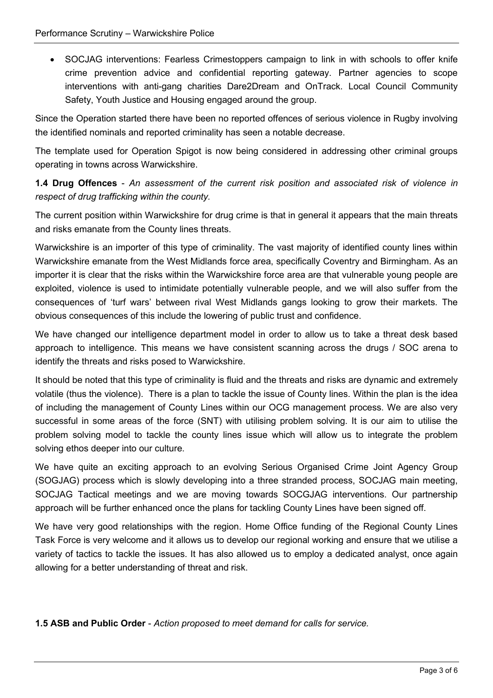SOCJAG interventions: Fearless Crimestoppers campaign to link in with schools to offer knife crime prevention advice and confidential reporting gateway. Partner agencies to scope interventions with anti-gang charities Dare2Dream and OnTrack. Local Council Community Safety, Youth Justice and Housing engaged around the group.

Since the Operation started there have been no reported offences of serious violence in Rugby involving the identified nominals and reported criminality has seen a notable decrease.

The template used for Operation Spigot is now being considered in addressing other criminal groups operating in towns across Warwickshire.

1.4 Drug Offences - An assessment of the current risk position and associated risk of violence in respect of drug trafficking within the county.

The current position within Warwickshire for drug crime is that in general it appears that the main threats and risks emanate from the County lines threats.

Warwickshire is an importer of this type of criminality. The vast majority of identified county lines within Warwickshire emanate from the West Midlands force area, specifically Coventry and Birmingham. As an importer it is clear that the risks within the Warwickshire force area are that vulnerable young people are exploited, violence is used to intimidate potentially vulnerable people, and we will also suffer from the consequences of 'turf wars' between rival West Midlands gangs looking to grow their markets. The obvious consequences of this include the lowering of public trust and confidence.

We have changed our intelligence department model in order to allow us to take a threat desk based approach to intelligence. This means we have consistent scanning across the drugs / SOC arena to identify the threats and risks posed to Warwickshire.

It should be noted that this type of criminality is fluid and the threats and risks are dynamic and extremely volatile (thus the violence). There is a plan to tackle the issue of County lines. Within the plan is the idea of including the management of County Lines within our OCG management process. We are also very successful in some areas of the force (SNT) with utilising problem solving. It is our aim to utilise the problem solving model to tackle the county lines issue which will allow us to integrate the problem solving ethos deeper into our culture.

We have quite an exciting approach to an evolving Serious Organised Crime Joint Agency Group (SOGJAG) process which is slowly developing into a three stranded process, SOCJAG main meeting, SOCJAG Tactical meetings and we are moving towards SOCGJAG interventions. Our partnership approach will be further enhanced once the plans for tackling County Lines have been signed off.

We have very good relationships with the region. Home Office funding of the Regional County Lines Task Force is very welcome and it allows us to develop our regional working and ensure that we utilise a variety of tactics to tackle the issues. It has also allowed us to employ a dedicated analyst, once again allowing for a better understanding of threat and risk.

1.5 ASB and Public Order - Action proposed to meet demand for calls for service.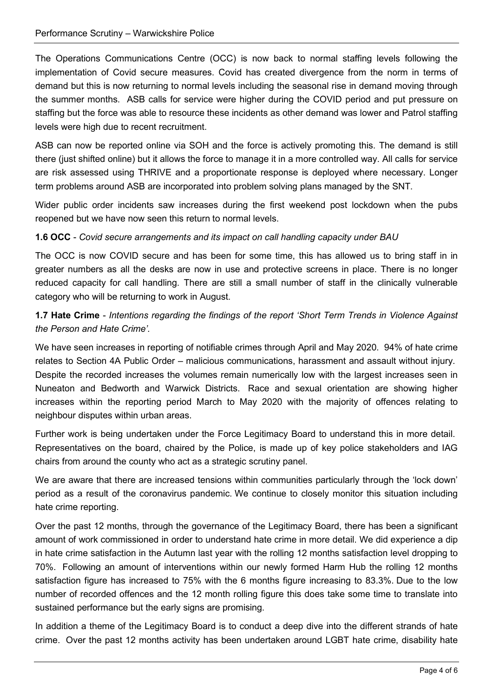The Operations Communications Centre (OCC) is now back to normal staffing levels following the implementation of Covid secure measures. Covid has created divergence from the norm in terms of demand but this is now returning to normal levels including the seasonal rise in demand moving through the summer months. ASB calls for service were higher during the COVID period and put pressure on staffing but the force was able to resource these incidents as other demand was lower and Patrol staffing levels were high due to recent recruitment.

ASB can now be reported online via SOH and the force is actively promoting this. The demand is still there (just shifted online) but it allows the force to manage it in a more controlled way. All calls for service are risk assessed using THRIVE and a proportionate response is deployed where necessary. Longer term problems around ASB are incorporated into problem solving plans managed by the SNT.

Wider public order incidents saw increases during the first weekend post lockdown when the pubs reopened but we have now seen this return to normal levels.

#### 1.6 OCC - Covid secure arrangements and its impact on call handling capacity under BAU

The OCC is now COVID secure and has been for some time, this has allowed us to bring staff in in greater numbers as all the desks are now in use and protective screens in place. There is no longer reduced capacity for call handling. There are still a small number of staff in the clinically vulnerable category who will be returning to work in August.

#### 1.7 Hate Crime - Intentions regarding the findings of the report 'Short Term Trends in Violence Against the Person and Hate Crime'.

We have seen increases in reporting of notifiable crimes through April and May 2020. 94% of hate crime relates to Section 4A Public Order – malicious communications, harassment and assault without injury. Despite the recorded increases the volumes remain numerically low with the largest increases seen in Nuneaton and Bedworth and Warwick Districts. Race and sexual orientation are showing higher increases within the reporting period March to May 2020 with the majority of offences relating to neighbour disputes within urban areas.

Further work is being undertaken under the Force Legitimacy Board to understand this in more detail. Representatives on the board, chaired by the Police, is made up of key police stakeholders and IAG chairs from around the county who act as a strategic scrutiny panel.

We are aware that there are increased tensions within communities particularly through the 'lock down' period as a result of the coronavirus pandemic. We continue to closely monitor this situation including hate crime reporting.

Over the past 12 months, through the governance of the Legitimacy Board, there has been a significant amount of work commissioned in order to understand hate crime in more detail. We did experience a dip in hate crime satisfaction in the Autumn last year with the rolling 12 months satisfaction level dropping to 70%. Following an amount of interventions within our newly formed Harm Hub the rolling 12 months satisfaction figure has increased to 75% with the 6 months figure increasing to 83.3%. Due to the low number of recorded offences and the 12 month rolling figure this does take some time to translate into sustained performance but the early signs are promising.

In addition a theme of the Legitimacy Board is to conduct a deep dive into the different strands of hate crime. Over the past 12 months activity has been undertaken around LGBT hate crime, disability hate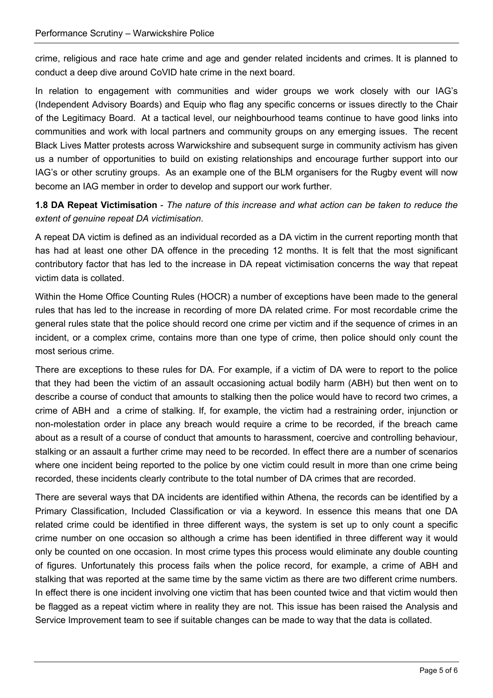crime, religious and race hate crime and age and gender related incidents and crimes. It is planned to conduct a deep dive around CoVID hate crime in the next board.

In relation to engagement with communities and wider groups we work closely with our IAG's (Independent Advisory Boards) and Equip who flag any specific concerns or issues directly to the Chair of the Legitimacy Board. At a tactical level, our neighbourhood teams continue to have good links into communities and work with local partners and community groups on any emerging issues. The recent Black Lives Matter protests across Warwickshire and subsequent surge in community activism has given us a number of opportunities to build on existing relationships and encourage further support into our IAG's or other scrutiny groups. As an example one of the BLM organisers for the Rugby event will now become an IAG member in order to develop and support our work further.

1.8 DA Repeat Victimisation - The nature of this increase and what action can be taken to reduce the extent of genuine repeat DA victimisation.

A repeat DA victim is defined as an individual recorded as a DA victim in the current reporting month that has had at least one other DA offence in the preceding 12 months. It is felt that the most significant contributory factor that has led to the increase in DA repeat victimisation concerns the way that repeat victim data is collated.

Within the Home Office Counting Rules (HOCR) a number of exceptions have been made to the general rules that has led to the increase in recording of more DA related crime. For most recordable crime the general rules state that the police should record one crime per victim and if the sequence of crimes in an incident, or a complex crime, contains more than one type of crime, then police should only count the most serious crime.

There are exceptions to these rules for DA. For example, if a victim of DA were to report to the police that they had been the victim of an assault occasioning actual bodily harm (ABH) but then went on to describe a course of conduct that amounts to stalking then the police would have to record two crimes, a crime of ABH and a crime of stalking. If, for example, the victim had a restraining order, injunction or non-molestation order in place any breach would require a crime to be recorded, if the breach came about as a result of a course of conduct that amounts to harassment, coercive and controlling behaviour, stalking or an assault a further crime may need to be recorded. In effect there are a number of scenarios where one incident being reported to the police by one victim could result in more than one crime being recorded, these incidents clearly contribute to the total number of DA crimes that are recorded.

There are several ways that DA incidents are identified within Athena, the records can be identified by a Primary Classification, Included Classification or via a keyword. In essence this means that one DA related crime could be identified in three different ways, the system is set up to only count a specific crime number on one occasion so although a crime has been identified in three different way it would only be counted on one occasion. In most crime types this process would eliminate any double counting of figures. Unfortunately this process fails when the police record, for example, a crime of ABH and stalking that was reported at the same time by the same victim as there are two different crime numbers. In effect there is one incident involving one victim that has been counted twice and that victim would then be flagged as a repeat victim where in reality they are not. This issue has been raised the Analysis and Service Improvement team to see if suitable changes can be made to way that the data is collated.